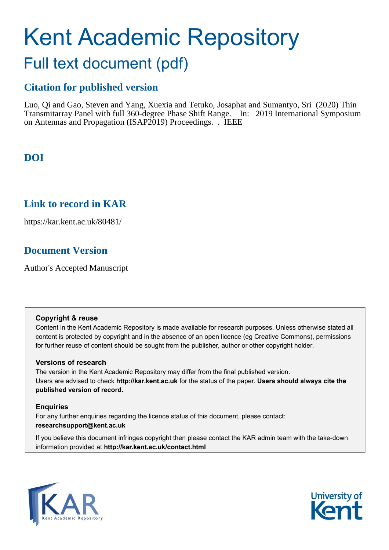# Kent Academic Repository

# Full text document (pdf)

## **Citation for published version**

Luo, Qi and Gao, Steven and Yang, Xuexia and Tetuko, Josaphat and Sumantyo, Sri (2020) Thin Transmitarray Panel with full 360-degree Phase Shift Range. In: 2019 International Symposium on Antennas and Propagation (ISAP2019) Proceedings. . IEEE

## **DOI**

### **Link to record in KAR**

https://kar.kent.ac.uk/80481/

## **Document Version**

Author's Accepted Manuscript

#### **Copyright & reuse**

Content in the Kent Academic Repository is made available for research purposes. Unless otherwise stated all content is protected by copyright and in the absence of an open licence (eg Creative Commons), permissions for further reuse of content should be sought from the publisher, author or other copyright holder.

#### **Versions of research**

The version in the Kent Academic Repository may differ from the final published version. Users are advised to check **http://kar.kent.ac.uk** for the status of the paper. **Users should always cite the published version of record.**

#### **Enquiries**

For any further enquiries regarding the licence status of this document, please contact: **researchsupport@kent.ac.uk**

If you believe this document infringes copyright then please contact the KAR admin team with the take-down information provided at **http://kar.kent.ac.uk/contact.html**



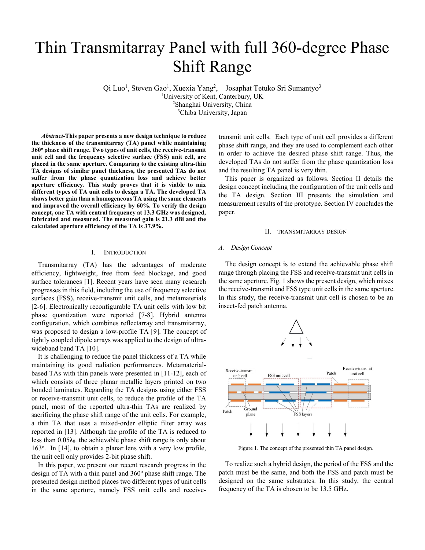## Thin Transmitarray Panel with full 360-degree Phase Shift Range

 $\overline{Q}$ i Luo<sup>1</sup>, Steven Gao<sup>1</sup>, Xuexia Yang<sup>2</sup>, Josaphat Tetuko Sri Sumantyo<sup>3</sup> University of Kent, Canterbury, UK 2 Shanghai University, China 3 Chiba University, Japan

*Abstract-***This paper presents a new design technique to reduce the thickness of the transmitarray (TA) panel while maintaining 360o phase shift range. Two types of unit cells, the receive-transmit unit cell and the frequency selective surface (FSS) unit cell, are placed in the same aperture. Comparing to the existing ultra-thin TA designs of similar panel thickness, the presented TAs do not suffer from the phase quantization loss and achieve better aperture efficiency. This study proves that it is viable to mix different types of TA unit cells to design a TA. The developed TA shows better gain than a homogeneous TA using the same elements and improved the overall efficiency by 60%. To verify the design concept, one TA with central frequency at 13.3 GHz was designed, fabricated and measured. The measured gain is 21.3 dBi and the calculated aperture efficiency of the TA is 37.9%.** 

#### I. INTRODUCTION

Transmitarray (TA) has the advantages of moderate efficiency, lightweight, free from feed blockage, and good surface tolerances [1]. Recent years have seen many research progresses in this field, including the use of frequency selective surfaces (FSS), receive-transmit unit cells, and metamaterials [2-6]. Electronically reconfigurable TA unit cells with low bit phase quantization were reported [7-8]. Hybrid antenna configuration, which combines reflectarray and transmitarray, was proposed to design a low-profile TA [9]. The concept of tightly coupled dipole arrays was applied to the design of ultrawideband band TA [10].

It is challenging to reduce the panel thickness of a TA while maintaining its good radiation performances. Metamaterialbased TAs with thin panels were presented in [11-12], each of which consists of three planar metallic layers printed on two bonded laminates. Regarding the TA designs using either FSS or receive-transmit unit cells, to reduce the profile of the TA panel, most of the reported ultra-thin TAs are realized by sacrificing the phase shift range of the unit cells. For example, a thin TA that uses a mixed-order elliptic filter array was reported in [13]. Although the profile of the TA is reduced to less than  $0.05\lambda_0$ , the achievable phase shift range is only about 163<sup>o</sup>. In [14], to obtain a planar lens with a very low profile, the unit cell only provides 2-bit phase shift.

In this paper, we present our recent research progress in the design of TA with a thin panel and 360° phase shift range. The presented design method places two different types of unit cells in the same aperture, namely FSS unit cells and receivetransmit unit cells. Each type of unit cell provides a different phase shift range, and they are used to complement each other in order to achieve the desired phase shift range. Thus, the developed TAs do not suffer from the phase quantization loss and the resulting TA panel is very thin.

This paper is organized as follows. Section II details the design concept including the configuration of the unit cells and the TA design. Section III presents the simulation and measurement results of the prototype. Section IV concludes the paper.

#### II. TRANSMITARRAY DESIGN

#### *A. Design Concept*

The design concept is to extend the achievable phase shift range through placing the FSS and receive-transmit unit cells in the same aperture. Fig. 1 shows the present design, which mixes the receive-transmit and FSS type unit cells in the same aperture. In this study, the receive-transmit unit cell is chosen to be an insect-fed patch antenna.



Figure 1. The concept of the presented thin TA panel design.

To realize such a hybrid design, the period of the FSS and the patch must be the same, and both the FSS and patch must be designed on the same substrates. In this study, the central frequency of the TA is chosen to be 13.5 GHz.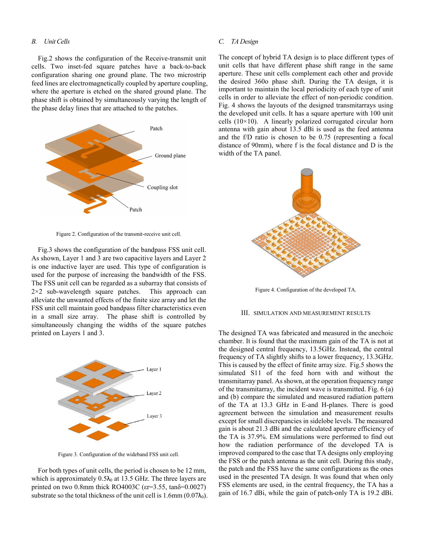#### *B. Unit Cells*

Fig.2 shows the configuration of the Receive-transmit unit cells. Two inset-fed square patches have a back-to-back configuration sharing one ground plane. The two microstrip feed lines are electromagnetically coupled by aperture coupling, where the aperture is etched on the shared ground plane. The phase shift is obtained by simultaneously varying the length of the phase delay lines that are attached to the patches.



Figure 2. Configuration of the transmit-receive unit cell.

Fig.3 shows the configuration of the bandpass FSS unit cell. As shown, Layer 1 and 3 are two capacitive layers and Layer 2 is one inductive layer are used. This type of configuration is used for the purpose of increasing the bandwidth of the FSS. The FSS unit cell can be regarded as a subarray that consists of  $2\times2$  sub-wavelength square patches. This approach can alleviate the unwanted effects of the finite size array and let the FSS unit cell maintain good bandpass filter characteristics even in a small size array. The phase shift is controlled by simultaneously changing the widths of the square patches printed on Layers 1 and 3.



Figure 3. Configuration of the wideband FSS unit cell.

For both types of unit cells, the period is chosen to be 12 mm, which is approximately  $0.5\lambda_0$  at 13.5 GHz. The three layers are printed on two 0.8mm thick RO4003C ( $\epsilon$ r=3.55, tan $\delta$ =0.0027) substrate so the total thickness of the unit cell is  $1.6$ mm (0.07 $\lambda_0$ ).

#### *C. TA Design*

The concept of hybrid TA design is to place different types of unit cells that have different phase shift range in the same aperture. These unit cells complement each other and provide the desired 360o phase shift. During the TA design, it is important to maintain the local periodicity of each type of unit cells in order to alleviate the effect of non-periodic condition. Fig. 4 shows the layouts of the designed transmitarrays using the developed unit cells. It has a square aperture with 100 unit cells  $(10\times10)$ . A linearly polarized corrugated circular horn antenna with gain about 13.5 dBi is used as the feed antenna and the f/D ratio is chosen to be 0.75 (representing a focal distance of 90mm), where f is the focal distance and D is the width of the TA panel.



Figure 4. Configuration of the developed TA.

#### III. SIMULATION AND MEASUREMENT RESULTS

The designed TA was fabricated and measured in the anechoic chamber. It is found that the maximum gain of the TA is not at the designed central frequency, 13.5GHz. Instead, the central frequency of TA slightly shifts to a lower frequency, 13.3GHz. This is caused by the effect of finite array size. Fig.5 shows the simulated S11 of the feed horn with and without the transmitarray panel. As shown, at the operation frequency range of the transmitarray, the incident wave is transmitted. Fig. 6 (a) and (b) compare the simulated and measured radiation pattern of the TA at 13.3 GHz in E-and H-planes. There is good agreement between the simulation and measurement results except for small discrepancies in sidelobe levels. The measured gain is about 21.3 dBi and the calculated aperture efficiency of the TA is 37.9%. EM simulations were performed to find out how the radiation performance of the developed TA is improved compared to the case that TA designs only employing the FSS or the patch antenna as the unit cell. During this study, the patch and the FSS have the same configurations as the ones used in the presented TA design. It was found that when only FSS elements are used, in the central frequency, the TA has a gain of 16.7 dBi, while the gain of patch-only TA is 19.2 dBi.